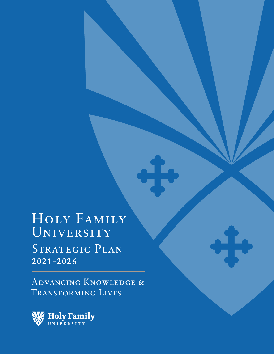Holy Family UNIVERSITY STRATEGIC PLAN 2021-2026

Advancing Knowledge & Transforming Lives

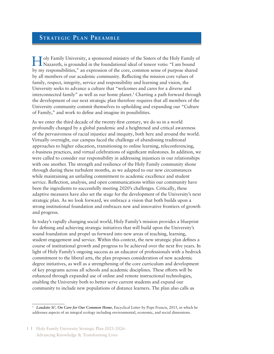### **Strategic Plan Preamble**

Holy Family University, a sponsored ministry of the Sisters of the Holy Family of Nazareth, is grounded in the foundational ideal of teneor votis: "I am bound by my responsibilities," an expression of the core, common sense of purpose shared by all members of our academic community. Reflecting the mission core values of family, respect, integrity, service and responsibility and learning and vision, the University seeks to advance a culture that "welcomes and cares for a diverse and interconnected family" as well as our home planet.1 Charting a path forward through the development of our next strategic plan therefore requires that all members of the University community commit themselves to upholding and expanding our "Culture of Family," and work to define and imagine its possibilities.

As we enter the third decade of the twenty-first century, we do so in a world profoundly changed by a global pandemic and a heightened and critical awareness of the pervasiveness of racial injustice and inequity, both here and around the world. Virtually overnight, our campus faced the challenge of abandoning traditional approaches to higher education, transitioning to online learning, teleconferencing, e-business practices, and virtual celebrations of significant milestones. In addition, we were called to consider our responsibility in addressing injustices in our relationships with one another. The strength and resilience of the Holy Family community shone through during these turbulent months, as we adapted to our new circumstances while maintaining an unfailing commitment to academic excellence and student service. Reflection, analysis, and open communications within our community have been the ingredients to successfully meeting 2020's challenges. Critically, these adaptive measures have also set the stage for the development of the University's next strategic plan. As we look forward, we embrace a vision that both builds upon a strong institutional foundation and embraces new and innovative frontiers of growth and progress.

In today's rapidly changing social world, Holy Family's mission provides a blueprint for defining and achieving strategic initiatives that will build upon the University's sound foundation and propel us forward into new areas of teaching, learning, student engagement and service. Within this context, the new strategic plan defines a course of institutional growth and progress to be achieved over the next five years. In light of Holy Family's ongoing success as an educator of professionals with a bedrock commitment to the liberal arts, the plan proposes consideration of new academic degree initiatives, as well as a strengthening of the core curriculum and development of key programs across all schools and academic disciplines. These efforts will be enhanced through expanded use of online and remote instructional technologies, enabling the University both to better serve current students and expand our community to include new populations of distance learners. The plan also calls us

<sup>&</sup>lt;sup>1</sup> *Laudato Si'*, *On Care for Our Common Home*, Encyclical Letter by Pope Francis, 2015, in which he addresses aspects of an integral ecology including environmental, economic, and social dimensions.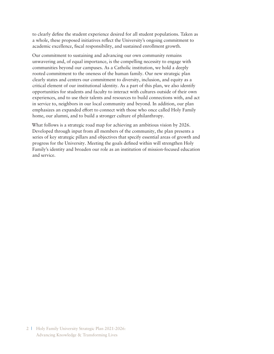to clearly define the student experience desired for all student populations. Taken as a whole, these proposed initiatives reflect the University's ongoing commitment to academic excellence, fiscal responsibility, and sustained enrollment growth.

Our commitment to sustaining and advancing our own community remains unwavering and, of equal importance, is the compelling necessity to engage with communities beyond our campuses. As a Catholic institution, we hold a deeply rooted commitment to the oneness of the human family. Our new strategic plan clearly states and centers our commitment to diversity, inclusion, and equity as a critical element of our institutional identity. As a part of this plan, we also identify opportunities for students and faculty to interact with cultures outside of their own experiences, and to use their talents and resources to build connections with, and act in service to, neighbors in our local community and beyond. In addition, our plan emphasizes an expanded effort to connect with those who once called Holy Family home, our alumni, and to build a stronger culture of philanthropy.

What follows is a strategic road map for achieving an ambitious vision by 2026. Developed through input from all members of the community, the plan presents a series of key strategic pillars and objectives that specify essential areas of growth and progress for the University. Meeting the goals defined within will strengthen Holy Family's identity and broaden our role as an institution of mission-focused education and service.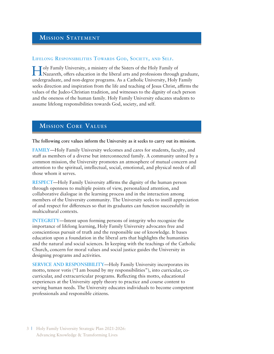# **MISSION STATEMENT**

#### **Lifelong Responsibilities Towards God, Society, and Self.**

Holy Family University, a ministry of the Sisters of the Holy Family of Nazareth, offers education in the liberal arts and professions through graduate, undergraduate, and non-degree programs. As a Catholic University, Holy Family seeks direction and inspiration from the life and teaching of Jesus Christ, affirms the values of the Judeo-Christian tradition, and witnesses to the dignity of each person and the oneness of the human family. Holy Family University educates students to assume lifelong responsibilities towards God, society, and self.

# **Mi ss ion Core Values**

**The following core values inform the University as it seeks to carry out its mission.**

**FAMILY**—Holy Family University welcomes and cares for students, faculty, and staff as members of a diverse but interconnected family. A community united by a common mission, the University promotes an atmosphere of mutual concern and attention to the spiritual, intellectual, social, emotional, and physical needs of all those whom it serves.

**RESPECT**—Holy Family University affirms the dignity of the human person through openness to multiple points of view, personalized attention, and collaborative dialogue in the learning process and in the interaction among members of the University community. The University seeks to instill appreciation of and respect for differences so that its graduates can function successfully in multicultural contexts.

**INTEGRITY**—Intent upon forming persons of integrity who recognize the importance of lifelong learning, Holy Family University advocates free and conscientious pursuit of truth and the responsible use of knowledge. It bases education upon a foundation in the liberal arts that highlights the humanities and the natural and social sciences. In keeping with the teachings of the Catholic Church, concern for moral values and social justice guides the University in designing programs and activities.

**SERVICE AND RESPONSIBILITY**—Holy Family University incorporates its motto, teneor votis ("I am bound by my responsibilities"), into curricular, cocurricular, and extracurricular programs. Reflecting this motto, educational experiences at the University apply theory to practice and course content to serving human needs. The University educates individuals to become competent professionals and responsible citizens.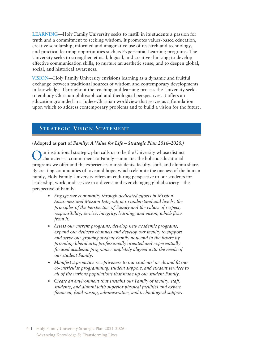**LEARNING**—Holy Family University seeks to instill in its students a passion for truth and a commitment to seeking wisdom. It promotes values-based education, creative scholarship, informed and imaginative use of research and technology, and practical learning opportunities such as Experiential Learning programs. The University seeks to strengthen ethical, logical, and creative thinking; to develop effective communication skills; to nurture an aesthetic sense; and to deepen global, social, and historical awareness.

**VISION**—Holy Family University envisions learning as a dynamic and fruitful exchange between traditional sources of wisdom and contemporary developments in knowledge. Throughout the teaching and learning process the University seeks to embody Christian philosophical and theological perspectives. It offers an education grounded in a Judeo-Christian worldview that serves as a foundation upon which to address contemporary problems and to build a vision for the future.

## **STRATEGIC VISION STATEMENT**

#### **(Adopted as part of** *Family: A Value for Life – Strategic Plan 2016–2020.)*

ur institutional strategic plan calls us to be the University whose distinct character—a commitment to Family—animates the holistic educational programs we offer and the experiences our students, faculty, staff, and alumni share. By creating communities of love and hope, which celebrate the oneness of the human family, Holy Family University offers an enduring perspective to our students for leadership, work, and service in a diverse and ever-changing global society—the perspective of Family.

- *Engage our community through dedicated efforts in Mission Awareness and Mission Integration to understand and live by the principles of the perspective of Family and the values of respect, responsibility, service, integrity, learning, and vision, which flow from it.*
- *Assess our current programs, develop new academic programs, expand our delivery channels and develop our faculty to support and serve our growing student Family now and in the future by providing liberal arts, professionally oriented and experientially focused academic programs completely aligned with the needs of our student Family.*
- *Manifest a proactive receptiveness to our students' needs and fit our co-curricular programming, student support, and student services to all of the various populations that make up our student Family.*
- *Create an environment that sustains our Family of faculty, staff, students, and alumni with superior physical facilities and expert financial, fund-raising, administrative, and technological support.*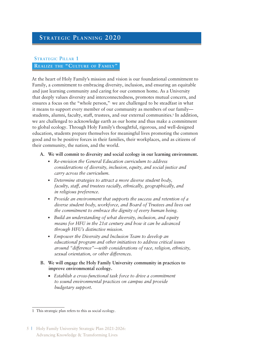# **Strategic Planning 2020**

### **Strategic Pillar 1 Realize the "Culture of Family"**

At the heart of Holy Family's mission and vision is our foundational commitment to Family, a commitment to embracing diversity, inclusion, and ensuring an equitable and just learning community and caring for our common home**.** As a University that deeply values diversity and interconnectedness, promotes mutual concern, and ensures a focus on the "whole person,". we are challenged to be steadfast in what it means to support every member of our community as members of our family students, alumni, faculty, staff, trustees, and our external communities.<sup>1</sup> In addition, we are challenged to acknowledge earth as our home and thus make a commitment to global ecology. Through Holy Family's thoughtful, rigorous, and well-designed education, students prepare themselves for meaningful lives promoting the common good and to be positive forces in their families, their workplaces, and as citizens of their community, the nation, and the world.

#### **A. We will commit to diversity and social ecology in our learning environment.**

- *Re-envision the General Education curriculum to address considerations of diversity, inclusion, equity, and social justice and carry across the curriculum.*
- *Determine strategies to attract a more diverse student body, faculty, staff, and trustees racially, ethnically, geographically, and in religious preference.*
- *Provide an environment that supports the success and retention of a diverse student body, workforce, and Board of Trustees and lives out the commitment to embrace the dignity of every human being.*
- *Build an understanding of what diversity, inclusion, and equity means for HFU in the 21st century and how it can be advanced through HFU's distinctive mission.*
- *Empower the Diversity and Inclusion Team to develop an educational program and other initiatives to address critical issues around "difference"—with considerations of race, religion, ethnicity, sexual orientation, or other differences.*
- **B. We will engage the Holy Family University community in practices to improve environmental ecology.**
	- • *Establish a cross-functional task force to drive a commitment to sound environmental practices on campus and provide budgetary support.*

<sup>1</sup> This strategic plan refers to this as social ecology.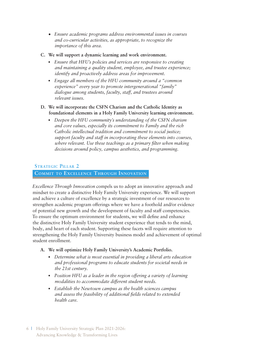- • *Ensure academic programs address environmental issues in courses and co-curricular activities, as appropriate, to recognize the importance of this area.*
- **C. We will support a dynamic learning and work environment.**
	- *Ensure that HFU's policies and services are responsive to creating and maintaining a quality student, employee, and trustee experience; identify and proactively address areas for improvement.*
	- *Engage all members of the HFU community around a "common experience" every year to promote intergenerational "family" dialogue among students, faculty, staff, and trustees around relevant issues.*
- **D. We will incorporate the CSFN Charism and the Catholic Identity as foundational elements in a Holy Family University learning environment.**
	- *Deepen the HFU community's understanding of the CSFN charism and core values, especially its commitment to Family and the rich Catholic intellectual tradition and commitment to social justice; support faculty and staff in incorporating these elements into courses, where relevant. Use these teachings as a primary filter when making decisions around policy, campus aesthetics, and programming.*

### **Strategic Pillar 2**

### **Commit to Excellence Through Innovation**

*Excellence Through Innovation* compels us to adopt an innovative approach and mindset to create a distinctive Holy Family University experience. We will support and achieve a culture of excellence by a strategic investment of our resources to strengthen academic program offerings where we have a foothold and/or evidence of potential new growth and the development of faculty and staff competencies. To ensure the optimum environment for students, we will define and enhance the distinctive Holy Family University student experience that tends to the mind, body, and heart of each student. Supporting these facets will require attention to strengthening the Holy Family University business model and achievement of optimal student enrollment.

- **A. We will optimize Holy Family University's Academic Portfolio.**
	- *Determine what is most essential in providing a liberal arts education and professional programs to educate students for societal needs in the 21st century.*
	- *Position HFU as a leader in the region offering a variety of learning modalities to accommodate different student needs.*
	- *Establish the Newtown campus as the health sciences campus and assess the feasibility of additional fields related to extended health care.*
- 6 | Holy Family University Strategic Plan 2021-2026: Advancing Knowledge & Transforming Lives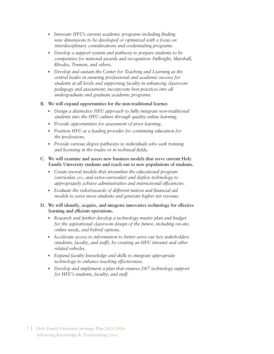- *Innovate HFU's current academic programs including finding new dimensions to be developed or optimized with a focus on interdisciplinary considerations and credentialing programs.*
- *Develop a support system and pathway to prepare students to be competitive for national awards and recognition: Fulbright, Marshall, Rhodes, Truman, and others.*
- *Develop and sustain the Center for Teaching and Learning as the central leader in ensuring professional and academic success for students at all levels and supporting faculty in enhancing classroom pedagogy and assessment; incorporate best practices into all undergraduate and graduate academic programs.*

#### **B. We will expand opportunities for the non-traditional learner.**

- *Design a distinctive HFU approach to fully integrate non-traditional students into the HFU culture through quality online learning.*
- *Provide opportunities for assessment of prior learning.*
- *Position HFU as a leading provider for continuing education for the professions.*
- *Provide various degree pathways to individuals who seek training and licensing in the trades or in technical fields.*

#### **C. We will examine and assess new business models that serve current Holy Family University students and reach out to new populations of students.**

- *Create several models that streamline the educational program (curricular, co-, and extra-curricular) and deploy technology to appropriately achieve administrative and instructional efficiencies.*
- *Evaluate the risks/rewards of different tuition and financial aid models to serve more students and generate higher net revenue.*
- **D. We will identify, acquire, and integrate innovative technology for effective learning and efficient operations.**
	- *Research and further develop a technology master plan and budget for the aspirational classroom design of the future, including on-site, online needs, and hybrid options.*
	- *Accelerate access to information to better serve our key stakeholders (students, faculty, and staff), by creating an HFU intranet and other related vehicles.*
	- *Expand faculty knowledge and skills to integrate appropriate technology to enhance teaching effectiveness.*
	- *Develop and implement a plan that ensures 24/7 technology support for HFU's students, faculty, and staff.*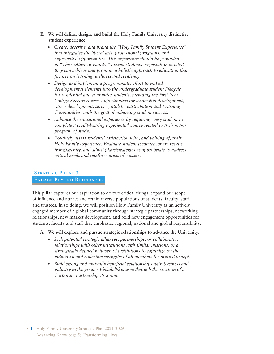- **E. We will define, design, and build the Holy Family University distinctive student experience.**
	- *Create, describe, and brand the "Holy Family Student Experience" that integrates the liberal arts, professional programs, and experiential opportunities. This experience should be grounded in "The Culture of Family," exceed students' expectation in what they can achieve and promote a holistic approach to education that focuses on learning, wellness and resiliency.*
	- *Design and implement a programmatic effort to embed developmental elements into the undergraduate student lifecycle for residential and commuter students, including the First-Year College Success course, opportunities for leadership development, career development, service, athletic participation and Learning Communities, with the goal of enhancing student success.*
	- *Enhance the educational experience by requiring every student to complete a credit-bearing experiential course related to their major program of study.*
	- *Routinely assess students' satisfaction with, and valuing of, their Holy Family experience. Evaluate student feedback, share results transparently, and adjust plans/strategies as appropriate to address critical needs and reinforce areas of success.*

### **Strategic Pillar 3 Engage Beyond Boundaries**

This pillar captures our aspiration to do two critical things: expand our scope of influence and attract and retain diverse populations of students, faculty, staff, and trustees. In so doing, we will position Holy Family University as an actively engaged member of a global community through strategic partnerships, networking relationships, new market development, and bold new engagement opportunities for students, faculty and staff that emphasize regional, national and global responsibility.

- **A. We will explore and pursue strategic relationships to advance the University.**
	- *Seek potential strategic alliances, partnerships, or collaborative relationships with other institutions with similar missions, or a strategically defined network of institutions to capitalize on the individual and collective strengths of all members for mutual benefit.*
	- *Build strong and mutually beneficial relationships with business and industry in the greater Philadelphia area through the creation of a Corporate Partnership Program.*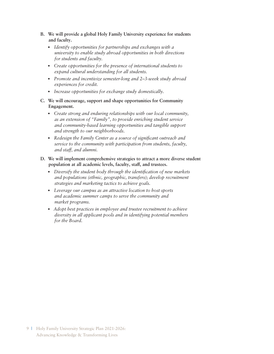- **B. We will provide a global Holy Family University experience for students and faculty.**
	- *Identify opportunities for partnerships and exchanges with a university to enable study abroad opportunities in both directions for students and faculty.*
	- *Create opportunities for the presence of international students to expand cultural understanding for all students.*
	- *Promote and incentivize semester-long and 2–3-week study abroad experiences for credit.*
	- *Increase opportunities for exchange study domestically.*
- **C. We will encourage, support and shape opportunities for Community Engagement.**
	- *Create strong and enduring relationships with our local community, as an extension of "Family", to provide enriching student service and community-based learning opportunities and tangible support and strength to our neighborhoods.*
	- *Redesign the Family Center as a source of significant outreach and service to the community with participation from students, faculty, and staff, and alumni.*
- **D. We will implement comprehensive strategies to attract a more diverse student population at all academic levels, faculty, staff, and trustees.**
	- *Diversify the student body through the identification of new markets and populations (ethnic, geographic, transfers); develop recruitment strategies and marketing tactics to achieve goals.*
	- *Leverage our campus as an attractive location to host sports and academic summer camps to serve the community and market programs.*
	- *Adopt best practices in employee and trustee recruitment to achieve diversity in all applicant pools and in identifying potential members for the Board.*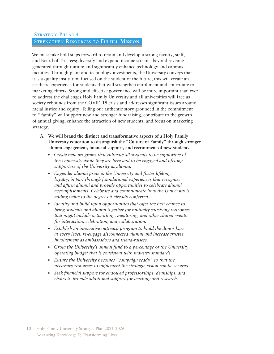### **Strategic Pillar 4 Strengthen Resources to Fulfill Mission**

We must take bold steps forward to retain and develop a strong faculty, staff, and Board of Trustees; diversify and expand income streams beyond revenue generated through tuition; and significantly enhance technology and campus facilities. Through plant and technology investments, the University conveys that it is a quality institution focused on the student of the future; this will create an aesthetic experience for students that will strengthen enrollment and contribute to marketing efforts. Strong and effective governance will be more important than ever to address the challenges Holy Family University and all universities will face as society rebounds from the COVID-19 crisis and addresses significant issues around racial justice and equity. Telling our authentic story grounded in the commitment to "Family" will support new and stronger fundraising, contribute to the growth of annual giving, enhance the attraction of new students, and focus on marketing strategy.

- **A. We will brand the distinct and transformative aspects of a Holy Family University education to distinguish the "Culture of Family" through stronger alumni engagement, financial support, and recruitment of new students.**
	- *Create new programs that cultivate all students to be supportive of the University while they are here and to be engaged and lifelong supporters of the University as alumni.*
	- *Engender alumni pride in the University and foster lifelong loyalty, in part through foundational experiences that recognize and affirm alumni and provide opportunities to celebrate alumni accomplishments. Celebrate and communicate how the University is adding value to the degrees it already conferred.*
	- *Identify and build upon opportunities that offer the best chance to bring students and alumni together for mutually satisfying outcomes that might include networking, mentoring, and other shared events for interaction, celebration, and collaboration.*
	- *Establish an innovative outreach program to build the donor base at every level, re-engage disconnected alumni and increase trustee involvement as ambassadors and friend-raisers.*
	- *Grow the University's annual fund to a percentage of the University operating budget that is consistent with industry standards.*
	- *Ensure the University becomes "campaign ready" so that the necessary resources to implement the strategic vision can be secured.*
	- *Seek financial support for endowed professorships, deanships, and chairs to provide additional support for teaching and research.*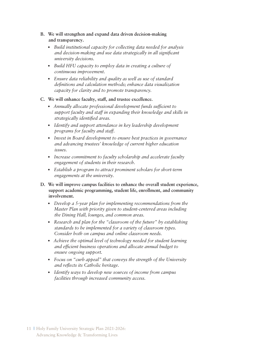- **B. We will strengthen and expand data driven decision-making and transparency.**
	- *Build institutional capacity for collecting data needed for analysis and decision-making and use data strategically in all significant university decisions.*
	- *Build HFU capacity to employ data in creating a culture of continuous improvement.*
	- *Ensure data reliability and quality as well as use of standard definitions and calculation methods; enhance data visualization capacity for clarity and to promote transparency.*
- **C. We will enhance faculty, staff, and trustee excellence.**
	- *Annually allocate professional development funds sufficient to support faculty and staff in expanding their knowledge and skills in strategically identified areas.*
	- *Identify and support attendance in key leadership development programs for faculty and staff.*
	- *Invest in Board development to ensure best practices in governance and advancing trustees' knowledge of current higher education issues.*
	- *Increase commitment to faculty scholarship and accelerate faculty engagement of students in their research.*
	- *Establish a program to attract prominent scholars for short-term engagements at the university.*
- **D. We will improve campus facilities to enhance the overall student experience, support academic programming, student life, enrollment, and community involvement.**
	- *Develop a 5-year plan for implementing recommendations from the Master Plan with priority given to student-centered areas including the Dining Hall, lounges, and common areas.*
	- *Research and plan for the "classroom of the future" by establishing standards to be implemented for a variety of classroom types. Consider both on campus and online classroom needs.*
	- *Achieve the optimal level of technology needed for student learning and efficient business operations and allocate annual budget to ensure ongoing support.*
	- *Focus on "curb appeal" that conveys the strength of the University and reflects its Catholic heritage.*
	- *Identify ways to develop new sources of income from campus facilities through increased community access.*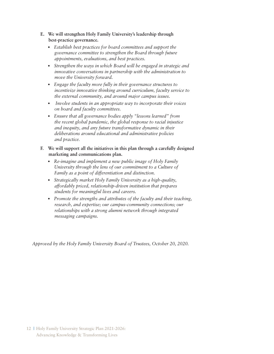- **E. We will strengthen Holy Family University's leadership through best-practice governance.** 
	- *Establish best practices for board committees and support the governance committee to strengthen the Board through future appointments, evaluations, and best practices.*
	- *Strengthen the ways in which Board will be engaged in strategic and innovative conversations in partnership with the administration to move the University forward.*
	- *Engage the faculty more fully in their governance structures to incentivize innovative thinking around curriculum, faculty service to the external community, and around major campus issues.*
	- • *Involve students in an appropriate way to incorporate their voices on board and faculty committees.*
	- *Ensure that all governance bodies apply "lessons learned" from the recent global pandemic, the global response to racial injustice and inequity, and any future transformative dynamic in their deliberations around educational and administrative policies and practice.*
- **F. We will support all the initiatives in this plan through a carefully designed marketing and communications plan.**
	- *Re-imagine and implement a new public image of Holy Family University through the lens of our commitment to a Culture of Family as a point of differentiation and distinction.*
	- *Strategically market Holy Family University as a high-quality, affordably priced, relationship-driven institution that prepares students for meaningful lives and careers.*
	- *Promote the strengths and attributes of the faculty and their teaching, research, and expertise; our campus-community connections; our relationships with a strong alumni network through integrated messaging campaigns.*

*Approved by the Holy Family University Board of Trustees, October 20, 2020.*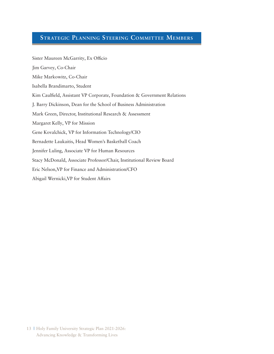# **Strategic Planning Steering Committee Members**

| Sister Maureen McGarrity, Ex Officio                                     |
|--------------------------------------------------------------------------|
| Jim Garvey, Co-Chair                                                     |
| Mike Markowitz, Co-Chair                                                 |
| Isabella Brandimarto, Student                                            |
| Kim Caulfield, Assistant VP Corporate, Foundation & Government Relations |
| J. Barry Dickinson, Dean for the School of Business Administration       |
| Mark Green, Director, Institutional Research & Assessment                |
| Margaret Kelly, VP for Mission                                           |
| Gene Kovalchick, VP for Information Technology/CIO                       |
| Bernadette Laukaitis, Head Women's Basketball Coach                      |
| Jennifer Luling, Associate VP for Human Resources                        |
| Stacy McDonald, Associate Professor/Chair, Institutional Review Board    |
| Eric Nelson, VP for Finance and Administration/CFO                       |
| Abigail Wernicki, VP for Student Affairs                                 |